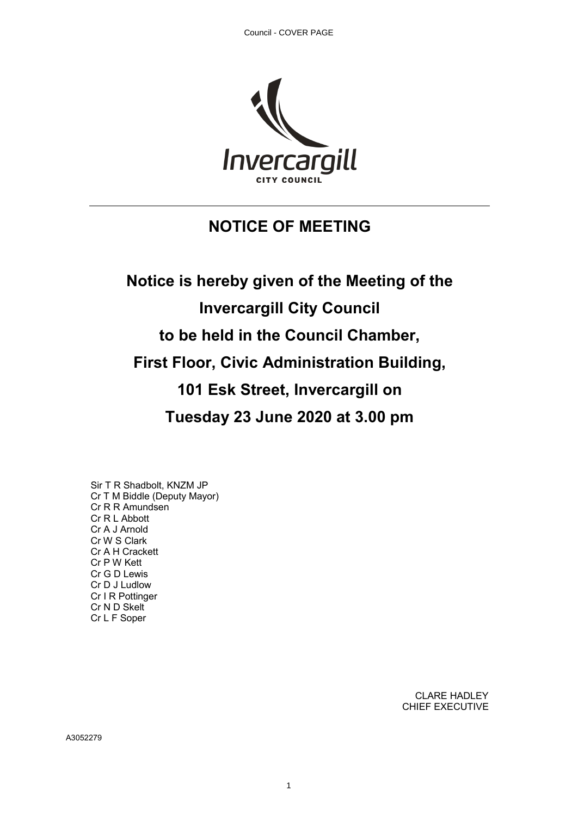

## **NOTICE OF MEETING**

# **Notice is hereby given of the Meeting of the Invercargill City Council to be held in the Council Chamber, First Floor, Civic Administration Building, 101 Esk Street, Invercargill on Tuesday 23 June 2020 at 3.00 pm**

Sir T R Shadbolt, KNZM JP Cr T M Biddle (Deputy Mayor) Cr R R Amundsen Cr R L Abbott Cr A J Arnold Cr W S Clark Cr A H Crackett Cr P W Kett Cr G D Lewis Cr D J Ludlow Cr I R Pottinger Cr N D Skelt Cr L F Soper

> CLARE HADLEY CHIEF EXECUTIVE

A3052279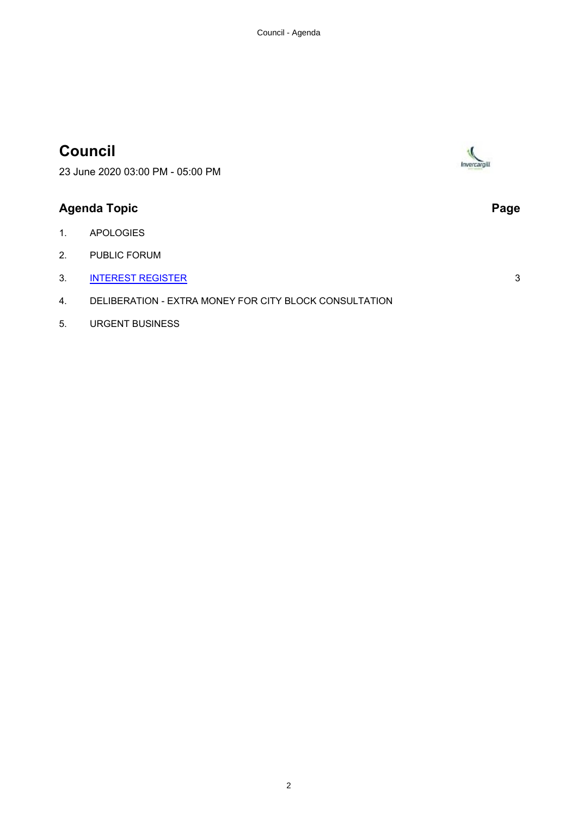## **Council**

Invercargil

23 June 2020 03:00 PM - 05:00 PM

### **Agenda Topic Page**

- 1. APOLOGIES
- 2. PUBLIC FORUM
- 3. [INTEREST REGISTER](#page-2-0) 3
- 4. DELIBERATION EXTRA MONEY FOR CITY BLOCK CONSULTATION
- 5. URGENT BUSINESS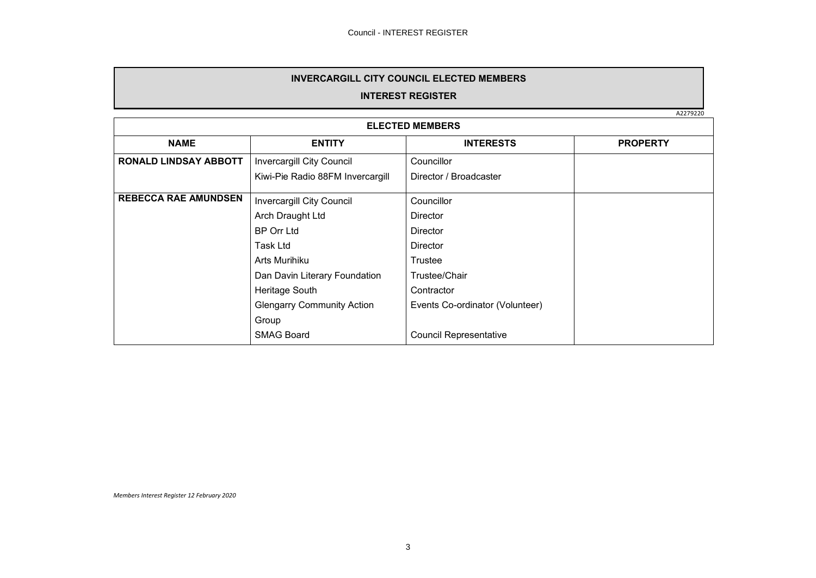#### **INVERCARGILL CITY COUNCIL ELECTED MEMBERS**

#### **INTEREST REGISTER**

A2279220

<span id="page-2-0"></span>

| <b>ELECTED MEMBERS</b>       |                                   |                                 |                 |
|------------------------------|-----------------------------------|---------------------------------|-----------------|
| <b>NAME</b>                  | <b>ENTITY</b>                     | <b>INTERESTS</b>                | <b>PROPERTY</b> |
| <b>RONALD LINDSAY ABBOTT</b> | <b>Invercargill City Council</b>  | Councillor                      |                 |
|                              | Kiwi-Pie Radio 88FM Invercargill  | Director / Broadcaster          |                 |
| <b>REBECCA RAE AMUNDSEN</b>  | Invercargill City Council         | Councillor                      |                 |
|                              | Arch Draught Ltd                  | Director                        |                 |
|                              | <b>BP Orr Ltd</b>                 | Director                        |                 |
|                              | Task Ltd                          | Director                        |                 |
|                              | Arts Murihiku                     | Trustee                         |                 |
|                              | Dan Davin Literary Foundation     | Trustee/Chair                   |                 |
|                              | Heritage South                    | Contractor                      |                 |
|                              | <b>Glengarry Community Action</b> | Events Co-ordinator (Volunteer) |                 |
|                              | Group                             |                                 |                 |
|                              | <b>SMAG Board</b>                 | <b>Council Representative</b>   |                 |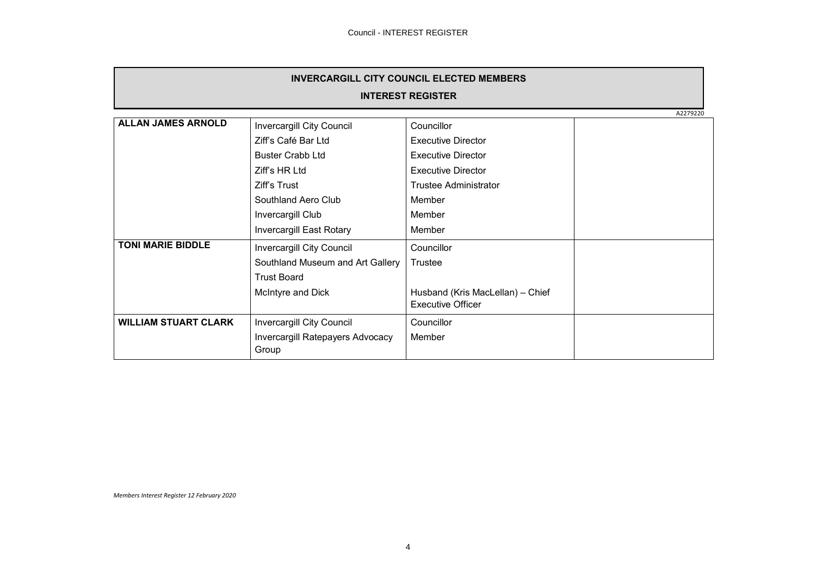| <b>INVERCARGILL CITY COUNCIL ELECTED MEMBERS</b> |                                  |                                  |  |
|--------------------------------------------------|----------------------------------|----------------------------------|--|
| <b>INTEREST REGISTER</b>                         |                                  |                                  |  |
|                                                  | A2279220                         |                                  |  |
| <b>ALLAN JAMES ARNOLD</b>                        | Invercargill City Council        | Councillor                       |  |
|                                                  | Ziff's Café Bar Ltd              | <b>Executive Director</b>        |  |
|                                                  | <b>Buster Crabb Ltd</b>          | <b>Executive Director</b>        |  |
|                                                  | Ziff's HR Ltd                    | <b>Executive Director</b>        |  |
|                                                  | Ziff's Trust                     | Trustee Administrator            |  |
|                                                  | Southland Aero Club              | Member                           |  |
|                                                  | Invercargill Club                | Member                           |  |
|                                                  | Invercargill East Rotary         | Member                           |  |
| <b>TONI MARIE BIDDLE</b>                         | Invercargill City Council        | Councillor                       |  |
|                                                  | Southland Museum and Art Gallery | Trustee                          |  |
|                                                  | <b>Trust Board</b>               |                                  |  |
|                                                  | McIntyre and Dick                | Husband (Kris MacLellan) - Chief |  |
|                                                  |                                  | <b>Executive Officer</b>         |  |
| <b>WILLIAM STUART CLARK</b>                      | Invercargill City Council        | Councillor                       |  |
|                                                  | Invercargill Ratepayers Advocacy | Member                           |  |
|                                                  | Group                            |                                  |  |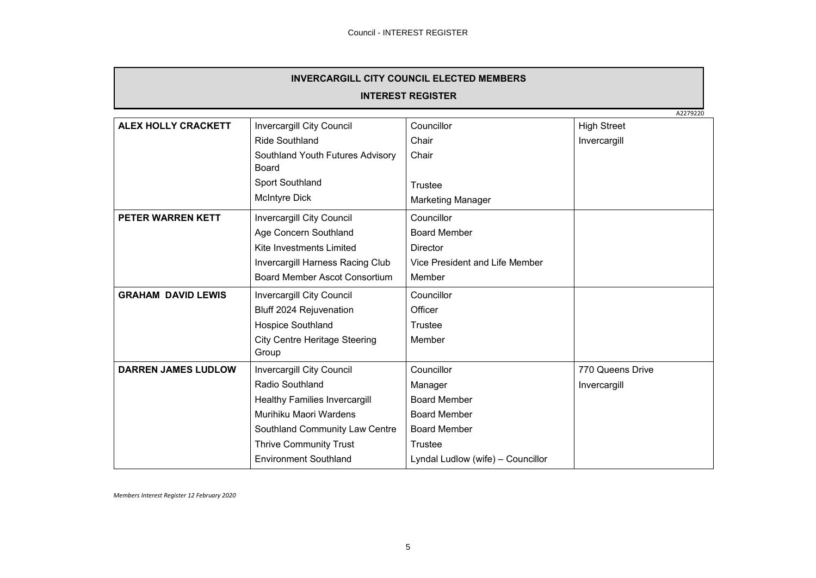| <b>INVERCARGILL CITY COUNCIL ELECTED MEMBERS</b> |
|--------------------------------------------------|
|                                                  |

|                            |                                      |                                   | A2279220           |
|----------------------------|--------------------------------------|-----------------------------------|--------------------|
| <b>ALEX HOLLY CRACKETT</b> | <b>Invercargill City Council</b>     | Councillor                        | <b>High Street</b> |
|                            | <b>Ride Southland</b>                | Chair                             | Invercargill       |
|                            | Southland Youth Futures Advisory     | Chair                             |                    |
|                            | Board                                |                                   |                    |
|                            | Sport Southland                      | Trustee                           |                    |
|                            | <b>McIntyre Dick</b>                 | <b>Marketing Manager</b>          |                    |
| PETER WARREN KETT          | Invercargill City Council            | Councillor                        |                    |
|                            | Age Concern Southland                | <b>Board Member</b>               |                    |
|                            | Kite Investments Limited             | <b>Director</b>                   |                    |
|                            | Invercargill Harness Racing Club     | Vice President and Life Member    |                    |
|                            | Board Member Ascot Consortium        | Member                            |                    |
| <b>GRAHAM DAVID LEWIS</b>  | Invercargill City Council            | Councillor                        |                    |
|                            | Bluff 2024 Rejuvenation              | Officer                           |                    |
|                            | Hospice Southland                    | Trustee                           |                    |
|                            | <b>City Centre Heritage Steering</b> | Member                            |                    |
|                            | Group                                |                                   |                    |
| <b>DARREN JAMES LUDLOW</b> | Invercargill City Council            | Councillor                        | 770 Queens Drive   |
|                            | Radio Southland                      | Manager                           | Invercargill       |
|                            | Healthy Families Invercargill        | <b>Board Member</b>               |                    |
|                            | Murihiku Maori Wardens               | <b>Board Member</b>               |                    |
|                            | Southland Community Law Centre       | <b>Board Member</b>               |                    |
|                            | <b>Thrive Community Trust</b>        | Trustee                           |                    |
|                            | <b>Environment Southland</b>         | Lyndal Ludlow (wife) - Councillor |                    |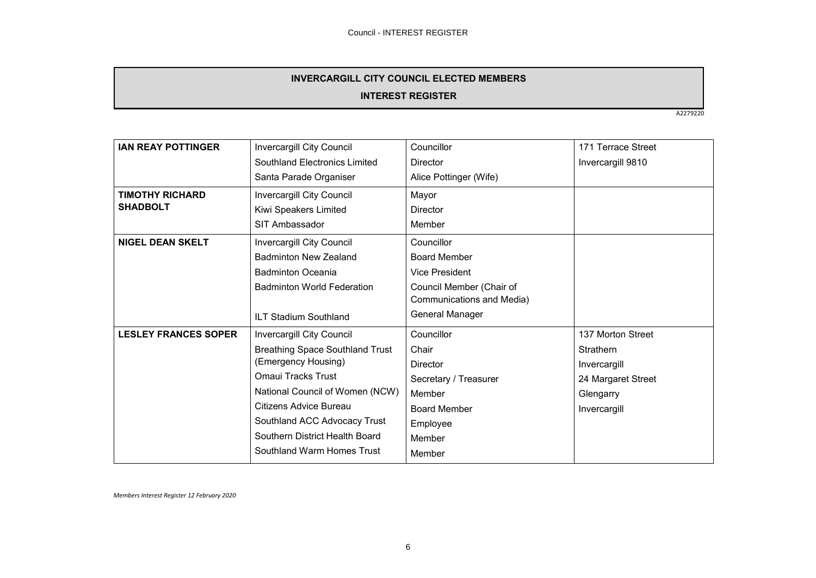#### **INVERCARGILL CITY COUNCIL ELECTED MEMBERS**

#### **INTEREST REGISTER**

A2279220

| <b>IAN REAY POTTINGER</b>   | Invercargill City Council              | Councillor                | 171 Terrace Street |
|-----------------------------|----------------------------------------|---------------------------|--------------------|
|                             | Southland Electronics Limited          | <b>Director</b>           | Invercargill 9810  |
|                             | Santa Parade Organiser                 | Alice Pottinger (Wife)    |                    |
| <b>TIMOTHY RICHARD</b>      | Invercargill City Council              | Mayor                     |                    |
| <b>SHADBOLT</b>             | Kiwi Speakers Limited                  | Director                  |                    |
|                             | SIT Ambassador                         | Member                    |                    |
| <b>NIGEL DEAN SKELT</b>     | Invercargill City Council              | Councillor                |                    |
|                             | <b>Badminton New Zealand</b>           | <b>Board Member</b>       |                    |
|                             | <b>Badminton Oceania</b>               | <b>Vice President</b>     |                    |
|                             | <b>Badminton World Federation</b>      | Council Member (Chair of  |                    |
|                             |                                        | Communications and Media) |                    |
|                             | <b>ILT Stadium Southland</b>           | General Manager           |                    |
| <b>LESLEY FRANCES SOPER</b> | <b>Invercargill City Council</b>       | Councillor                | 137 Morton Street  |
|                             | <b>Breathing Space Southland Trust</b> | Chair                     | Strathern          |
|                             | (Emergency Housing)                    | Director                  | Invercargill       |
|                             | Omaui Tracks Trust                     | Secretary / Treasurer     | 24 Margaret Street |
|                             | National Council of Women (NCW)        | Member                    | Glengarry          |
|                             | Citizens Advice Bureau                 | <b>Board Member</b>       | Invercargill       |
|                             | Southland ACC Advocacy Trust           | Employee                  |                    |
|                             | Southern District Health Board         | Member                    |                    |
|                             | Southland Warm Homes Trust             | Member                    |                    |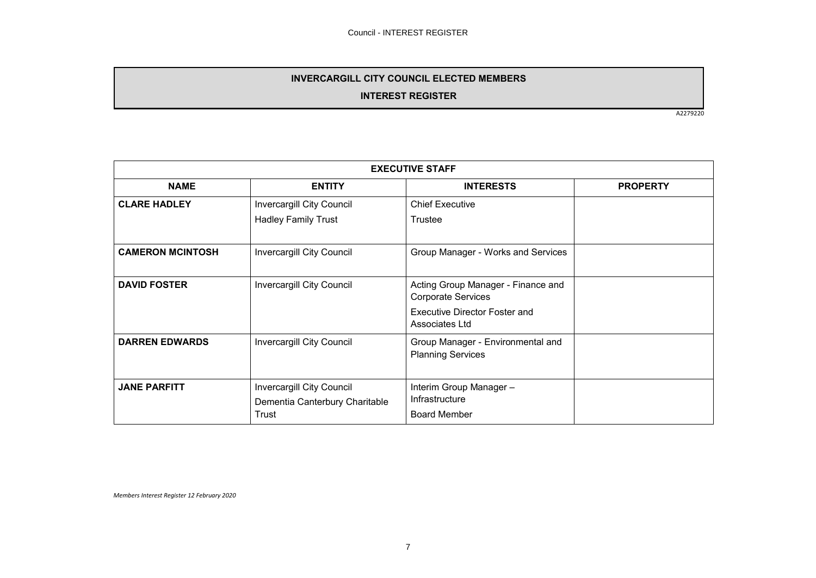#### **INVERCARGILL CITY COUNCIL ELECTED MEMBERS**

#### **INTEREST REGISTER**

A2279220

| <b>EXECUTIVE STAFF</b>  |                                                                      |                                                                  |                 |
|-------------------------|----------------------------------------------------------------------|------------------------------------------------------------------|-----------------|
| <b>NAME</b>             | <b>ENTITY</b>                                                        | <b>INTERESTS</b>                                                 | <b>PROPERTY</b> |
| <b>CLARE HADLEY</b>     | Invercargill City Council                                            | <b>Chief Executive</b>                                           |                 |
|                         | <b>Hadley Family Trust</b>                                           | Trustee                                                          |                 |
| <b>CAMERON MCINTOSH</b> | Invercargill City Council                                            | Group Manager - Works and Services                               |                 |
| <b>DAVID FOSTER</b>     | Invercargill City Council                                            | Acting Group Manager - Finance and<br><b>Corporate Services</b>  |                 |
|                         |                                                                      | <b>Executive Director Foster and</b><br>Associates Ltd           |                 |
| <b>DARREN EDWARDS</b>   | <b>Invercargill City Council</b>                                     | Group Manager - Environmental and<br><b>Planning Services</b>    |                 |
| <b>JANE PARFITT</b>     | Invercargill City Council<br>Dementia Canterbury Charitable<br>Trust | Interim Group Manager -<br>Infrastructure<br><b>Board Member</b> |                 |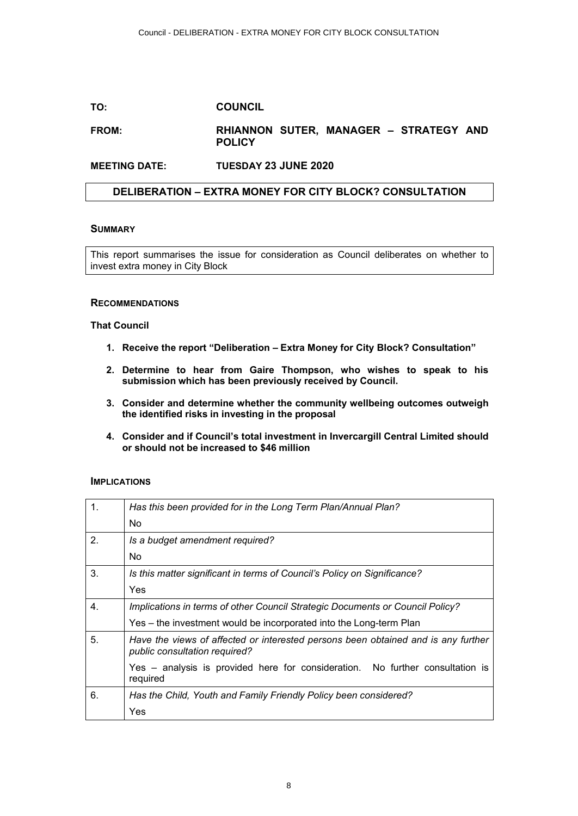#### **TO: COUNCIL**

#### **FROM: RHIANNON SUTER, MANAGER – STRATEGY AND POLICY**

#### **MEETING DATE: TUESDAY 23 JUNE 2020**

#### **DELIBERATION – EXTRA MONEY FOR CITY BLOCK? CONSULTATION**

#### **SUMMARY**

This report summarises the issue for consideration as Council deliberates on whether to invest extra money in City Block

#### **RECOMMENDATIONS**

#### **That Council**

- **1. Receive the report "Deliberation Extra Money for City Block? Consultation"**
- **2. Determine to hear from Gaire Thompson, who wishes to speak to his submission which has been previously received by Council.**
- **3. Consider and determine whether the community wellbeing outcomes outweigh the identified risks in investing in the proposal**
- **4. Consider and if Council's total investment in Invercargill Central Limited should or should not be increased to \$46 million**

#### **IMPLICATIONS**

| 1. | Has this been provided for in the Long Term Plan/Annual Plan?                                                      |  |  |
|----|--------------------------------------------------------------------------------------------------------------------|--|--|
|    | No.                                                                                                                |  |  |
| 2. | Is a budget amendment required?                                                                                    |  |  |
|    | No.                                                                                                                |  |  |
| 3. | Is this matter significant in terms of Council's Policy on Significance?                                           |  |  |
|    | Yes                                                                                                                |  |  |
| 4. | Implications in terms of other Council Strategic Documents or Council Policy?                                      |  |  |
|    | Yes – the investment would be incorporated into the Long-term Plan                                                 |  |  |
| 5. | Have the views of affected or interested persons been obtained and is any further<br>public consultation required? |  |  |
|    | Yes – analysis is provided here for consideration. No further consultation is<br>required                          |  |  |
| 6. | Has the Child, Youth and Family Friendly Policy been considered?                                                   |  |  |
|    | Yes                                                                                                                |  |  |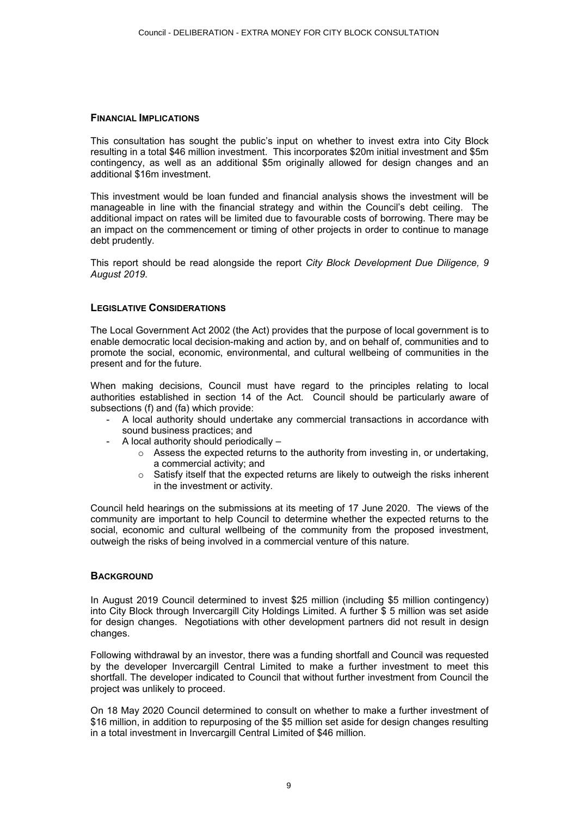#### **FINANCIAL IMPLICATIONS**

This consultation has sought the public's input on whether to invest extra into City Block resulting in a total \$46 million investment. This incorporates \$20m initial investment and \$5m contingency, as well as an additional \$5m originally allowed for design changes and an additional \$16m investment.

This investment would be loan funded and financial analysis shows the investment will be manageable in line with the financial strategy and within the Council's debt ceiling. The additional impact on rates will be limited due to favourable costs of borrowing. There may be an impact on the commencement or timing of other projects in order to continue to manage debt prudently.

This report should be read alongside the report *City Block Development Due Diligence, 9 August 2019*.

#### **LEGISLATIVE CONSIDERATIONS**

The Local Government Act 2002 (the Act) provides that the purpose of local government is to enable democratic local decision-making and action by, and on behalf of, communities and to promote the social, economic, environmental, and cultural wellbeing of communities in the present and for the future.

When making decisions, Council must have regard to the principles relating to local authorities established in section 14 of the Act. Council should be particularly aware of subsections (f) and (fa) which provide:

- A local authority should undertake any commercial transactions in accordance with sound business practices; and
- A local authority should periodically
	- o Assess the expected returns to the authority from investing in, or undertaking, a commercial activity; and
	- $\circ$  Satisfy itself that the expected returns are likely to outweigh the risks inherent in the investment or activity.

Council held hearings on the submissions at its meeting of 17 June 2020. The views of the community are important to help Council to determine whether the expected returns to the social, economic and cultural wellbeing of the community from the proposed investment, outweigh the risks of being involved in a commercial venture of this nature.

#### **BACKGROUND**

In August 2019 Council determined to invest \$25 million (including \$5 million contingency) into City Block through Invercargill City Holdings Limited. A further \$ 5 million was set aside for design changes. Negotiations with other development partners did not result in design changes.

Following withdrawal by an investor, there was a funding shortfall and Council was requested by the developer Invercargill Central Limited to make a further investment to meet this shortfall. The developer indicated to Council that without further investment from Council the project was unlikely to proceed.

On 18 May 2020 Council determined to consult on whether to make a further investment of \$16 million, in addition to repurposing of the \$5 million set aside for design changes resulting in a total investment in Invercargill Central Limited of \$46 million.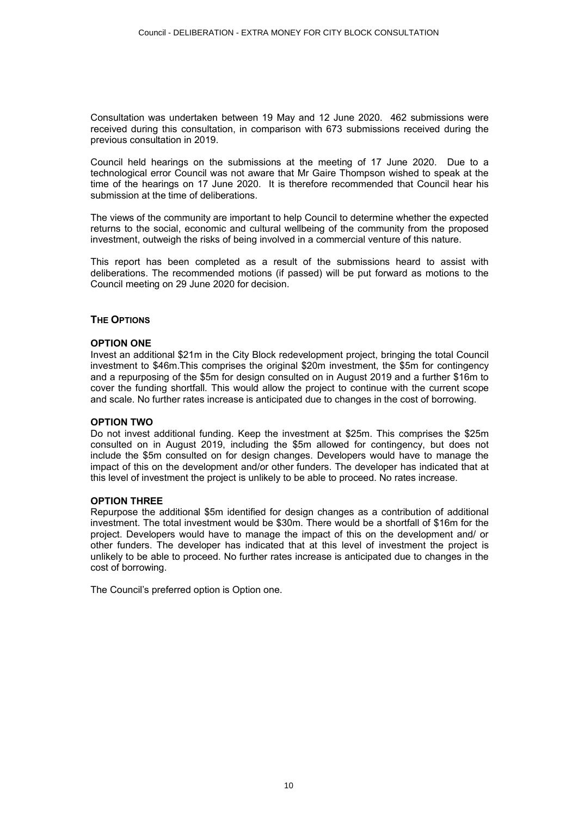Consultation was undertaken between 19 May and 12 June 2020. 462 submissions were received during this consultation, in comparison with 673 submissions received during the previous consultation in 2019.

Council held hearings on the submissions at the meeting of 17 June 2020. Due to a technological error Council was not aware that Mr Gaire Thompson wished to speak at the time of the hearings on 17 June 2020. It is therefore recommended that Council hear his submission at the time of deliberations.

The views of the community are important to help Council to determine whether the expected returns to the social, economic and cultural wellbeing of the community from the proposed investment, outweigh the risks of being involved in a commercial venture of this nature.

This report has been completed as a result of the submissions heard to assist with deliberations. The recommended motions (if passed) will be put forward as motions to the Council meeting on 29 June 2020 for decision.

#### **THE OPTIONS**

#### **OPTION ONE**

Invest an additional \$21m in the City Block redevelopment project, bringing the total Council investment to \$46m.This comprises the original \$20m investment, the \$5m for contingency and a repurposing of the \$5m for design consulted on in August 2019 and a further \$16m to cover the funding shortfall. This would allow the project to continue with the current scope and scale. No further rates increase is anticipated due to changes in the cost of borrowing.

#### **OPTION TWO**

Do not invest additional funding. Keep the investment at \$25m. This comprises the \$25m consulted on in August 2019, including the \$5m allowed for contingency, but does not include the \$5m consulted on for design changes. Developers would have to manage the impact of this on the development and/or other funders. The developer has indicated that at this level of investment the project is unlikely to be able to proceed. No rates increase.

#### **OPTION THREE**

Repurpose the additional \$5m identified for design changes as a contribution of additional investment. The total investment would be \$30m. There would be a shortfall of \$16m for the project. Developers would have to manage the impact of this on the development and/ or other funders. The developer has indicated that at this level of investment the project is unlikely to be able to proceed. No further rates increase is anticipated due to changes in the cost of borrowing.

The Council's preferred option is Option one.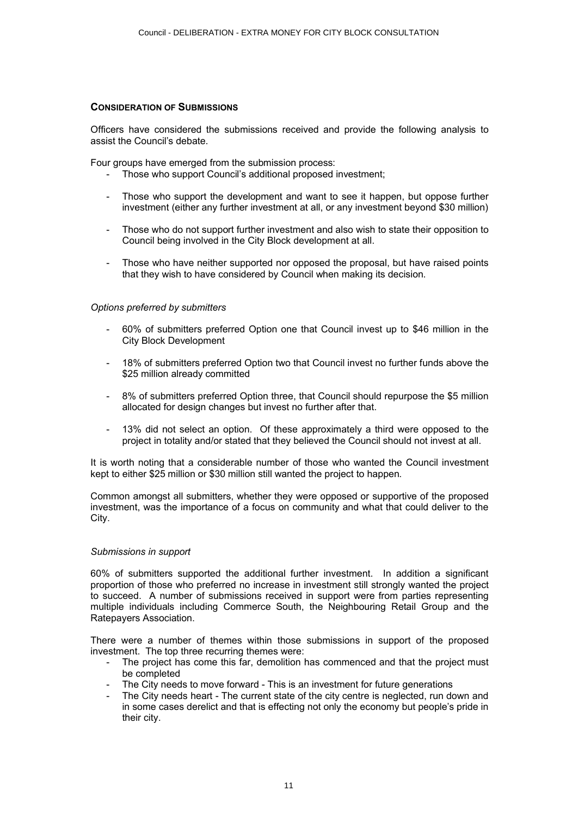#### **CONSIDERATION OF SUBMISSIONS**

Officers have considered the submissions received and provide the following analysis to assist the Council's debate.

Four groups have emerged from the submission process:

- Those who support Council's additional proposed investment:
- Those who support the development and want to see it happen, but oppose further investment (either any further investment at all, or any investment beyond \$30 million)
- Those who do not support further investment and also wish to state their opposition to Council being involved in the City Block development at all.
- Those who have neither supported nor opposed the proposal, but have raised points that they wish to have considered by Council when making its decision.

#### *Options preferred by submitters*

- 60% of submitters preferred Option one that Council invest up to \$46 million in the City Block Development
- 18% of submitters preferred Option two that Council invest no further funds above the \$25 million already committed
- 8% of submitters preferred Option three, that Council should repurpose the \$5 million allocated for design changes but invest no further after that.
- 13% did not select an option. Of these approximately a third were opposed to the project in totality and/or stated that they believed the Council should not invest at all.

It is worth noting that a considerable number of those who wanted the Council investment kept to either \$25 million or \$30 million still wanted the project to happen.

Common amongst all submitters, whether they were opposed or supportive of the proposed investment, was the importance of a focus on community and what that could deliver to the City.

#### *Submissions in support*

60% of submitters supported the additional further investment. In addition a significant proportion of those who preferred no increase in investment still strongly wanted the project to succeed. A number of submissions received in support were from parties representing multiple individuals including Commerce South, the Neighbouring Retail Group and the Ratepayers Association.

There were a number of themes within those submissions in support of the proposed investment. The top three recurring themes were:

- The project has come this far, demolition has commenced and that the project must be completed
- The City needs to move forward This is an investment for future generations
- The City needs heart The current state of the city centre is neglected, run down and in some cases derelict and that is effecting not only the economy but people's pride in their city.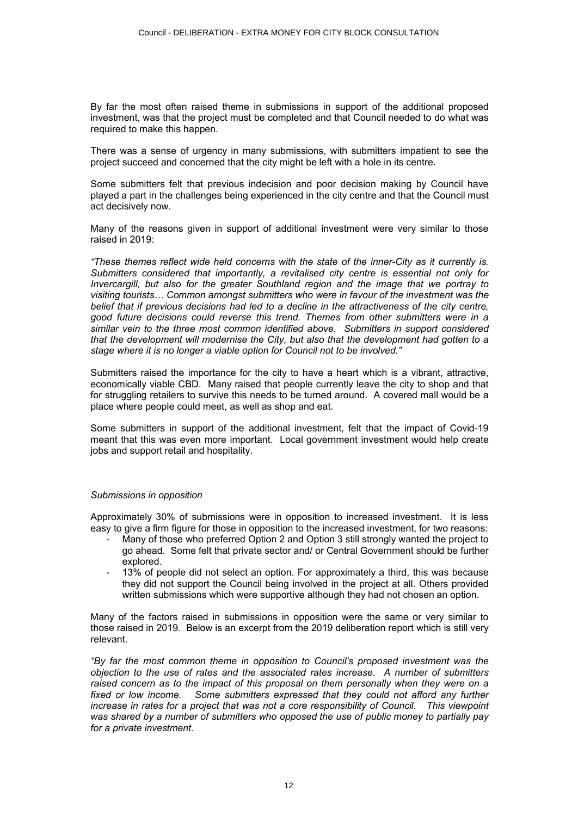By far the most often raised theme in submissions in support of the additional proposed investment, was that the project must be completed and that Council needed to do what was required to make this happen.

There was a sense of urgency in many submissions, with submitters impatient to see the project succeed and concerned that the city might be left with a hole in its centre.

Some submitters felt that previous indecision and poor decision making by Council have played a part in the challenges being experienced in the city centre and that the Council must act decisively now.

Many of the reasons given in support of additional investment were very similar to those raised in 2019:

*"These themes reflect wide held concerns with the state of the inner-City as it currently is. Submitters considered that importantly, a revitalised city centre is essential not only for Invercargill, but also for the greater Southland region and the image that we portray to visiting tourists… Common amongst submitters who were in favour of the investment was the belief that if previous decisions had led to a decline in the attractiveness of the city centre, good future decisions could reverse this trend. Themes from other submitters were in a similar vein to the three most common identified above. Submitters in support considered that the development will modernise the City, but also that the development had gotten to a stage where it is no longer a viable option for Council not to be involved."* 

Submitters raised the importance for the city to have a heart which is a vibrant, attractive, economically viable CBD. Many raised that people currently leave the city to shop and that for struggling retailers to survive this needs to be turned around. A covered mall would be a place where people could meet, as well as shop and eat.

Some submitters in support of the additional investment, felt that the impact of Covid-19 meant that this was even more important. Local government investment would help create jobs and support retail and hospitality.

#### *Submissions in opposition*

Approximately 30% of submissions were in opposition to increased investment. It is less easy to give a firm figure for those in opposition to the increased investment, for two reasons:

- Many of those who preferred Option 2 and Option 3 still strongly wanted the project to go ahead. Some felt that private sector and/ or Central Government should be further explored.
- 13% of people did not select an option. For approximately a third, this was because they did not support the Council being involved in the project at all. Others provided written submissions which were supportive although they had not chosen an option.

Many of the factors raised in submissions in opposition were the same or very similar to those raised in 2019. Below is an excerpt from the 2019 deliberation report which is still very relevant.

*"By far the most common theme in opposition to Council's proposed investment was the objection to the use of rates and the associated rates increase. A number of submitters*  raised concern as to the impact of this proposal on them personally when they were on a fixed or low income. Some submitters expressed that they could not afford any further increase in rates for a project that was not a core responsibility of Council. This viewpoint *was shared by a number of submitters who opposed the use of public money to partially pay for a private investment.*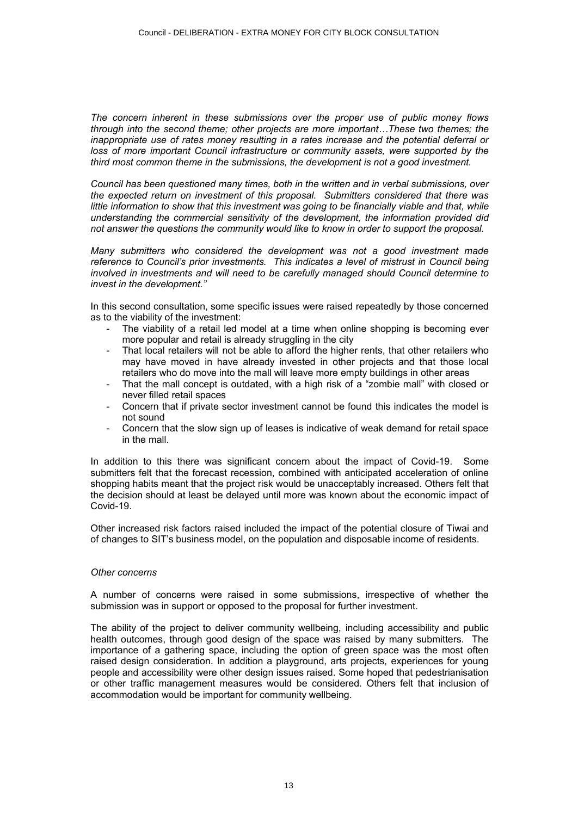*The concern inherent in these submissions over the proper use of public money flows through into the second theme; other projects are more important…These two themes; the inappropriate use of rates money resulting in a rates increase and the potential deferral or*  loss of more important Council infrastructure or community assets, were supported by the *third most common theme in the submissions, the development is not a good investment.* 

*Council has been questioned many times, both in the written and in verbal submissions, over the expected return on investment of this proposal. Submitters considered that there was little information to show that this investment was going to be financially viable and that, while understanding the commercial sensitivity of the development, the information provided did not answer the questions the community would like to know in order to support the proposal.* 

*Many submitters who considered the development was not a good investment made reference to Council's prior investments. This indicates a level of mistrust in Council being involved in investments and will need to be carefully managed should Council determine to invest in the development."*

In this second consultation, some specific issues were raised repeatedly by those concerned as to the viability of the investment:

- The viability of a retail led model at a time when online shopping is becoming ever more popular and retail is already struggling in the city
- That local retailers will not be able to afford the higher rents, that other retailers who may have moved in have already invested in other projects and that those local retailers who do move into the mall will leave more empty buildings in other areas
- That the mall concept is outdated, with a high risk of a "zombie mall" with closed or never filled retail spaces
- Concern that if private sector investment cannot be found this indicates the model is not sound
- Concern that the slow sign up of leases is indicative of weak demand for retail space in the mall.

In addition to this there was significant concern about the impact of Covid-19. Some submitters felt that the forecast recession, combined with anticipated acceleration of online shopping habits meant that the project risk would be unacceptably increased. Others felt that the decision should at least be delayed until more was known about the economic impact of Covid-19.

Other increased risk factors raised included the impact of the potential closure of Tiwai and of changes to SIT's business model, on the population and disposable income of residents.

#### *Other concerns*

A number of concerns were raised in some submissions, irrespective of whether the submission was in support or opposed to the proposal for further investment.

The ability of the project to deliver community wellbeing, including accessibility and public health outcomes, through good design of the space was raised by many submitters. The importance of a gathering space, including the option of green space was the most often raised design consideration. In addition a playground, arts projects, experiences for young people and accessibility were other design issues raised. Some hoped that pedestrianisation or other traffic management measures would be considered. Others felt that inclusion of accommodation would be important for community wellbeing.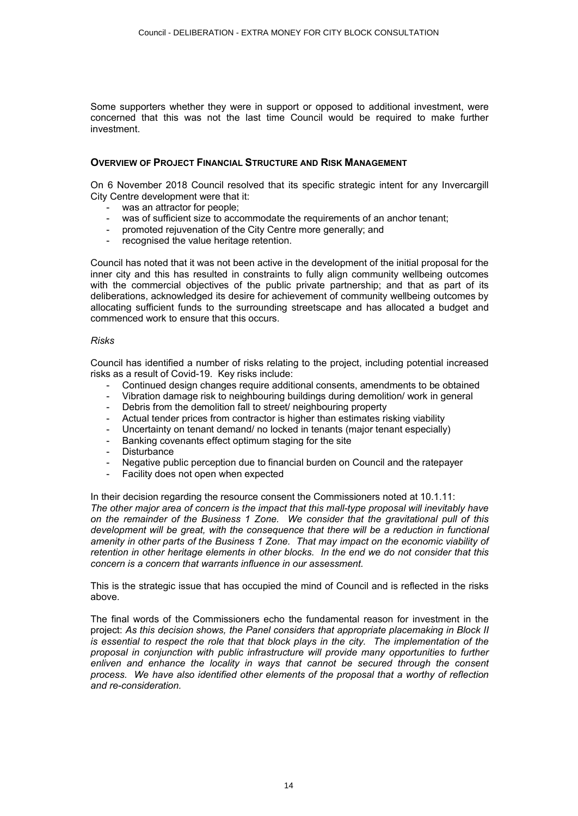Some supporters whether they were in support or opposed to additional investment, were concerned that this was not the last time Council would be required to make further investment.

#### **OVERVIEW OF PROJECT FINANCIAL STRUCTURE AND RISK MANAGEMENT**

On 6 November 2018 Council resolved that its specific strategic intent for any Invercargill City Centre development were that it:

- was an attractor for people;
- was of sufficient size to accommodate the requirements of an anchor tenant;
- promoted rejuvenation of the City Centre more generally; and
- recognised the value heritage retention.

Council has noted that it was not been active in the development of the initial proposal for the inner city and this has resulted in constraints to fully align community wellbeing outcomes with the commercial objectives of the public private partnership; and that as part of its deliberations, acknowledged its desire for achievement of community wellbeing outcomes by allocating sufficient funds to the surrounding streetscape and has allocated a budget and commenced work to ensure that this occurs.

#### *Risks*

Council has identified a number of risks relating to the project, including potential increased risks as a result of Covid-19. Key risks include:

- Continued design changes require additional consents, amendments to be obtained
- Vibration damage risk to neighbouring buildings during demolition/ work in general
- Debris from the demolition fall to street/ neighbouring property
- Actual tender prices from contractor is higher than estimates risking viability
- Uncertainty on tenant demand/ no locked in tenants (major tenant especially)
- Banking covenants effect optimum staging for the site
- **Disturbance**
- Negative public perception due to financial burden on Council and the ratepayer
- Facility does not open when expected

In their decision regarding the resource consent the Commissioners noted at 10.1.11: *The other major area of concern is the impact that this mall-type proposal will inevitably have on the remainder of the Business 1 Zone. We consider that the gravitational pull of this*  development will be great, with the consequence that there will be a reduction in functional *amenity in other parts of the Business 1 Zone. That may impact on the economic viability of retention in other heritage elements in other blocks. In the end we do not consider that this concern is a concern that warrants influence in our assessment.* 

This is the strategic issue that has occupied the mind of Council and is reflected in the risks above.

The final words of the Commissioners echo the fundamental reason for investment in the project: *As this decision shows, the Panel considers that appropriate placemaking in Block II is essential to respect the role that that block plays in the city. The implementation of the proposal in conjunction with public infrastructure will provide many opportunities to further enliven and enhance the locality in ways that cannot be secured through the consent process. We have also identified other elements of the proposal that a worthy of reflection and re-consideration.*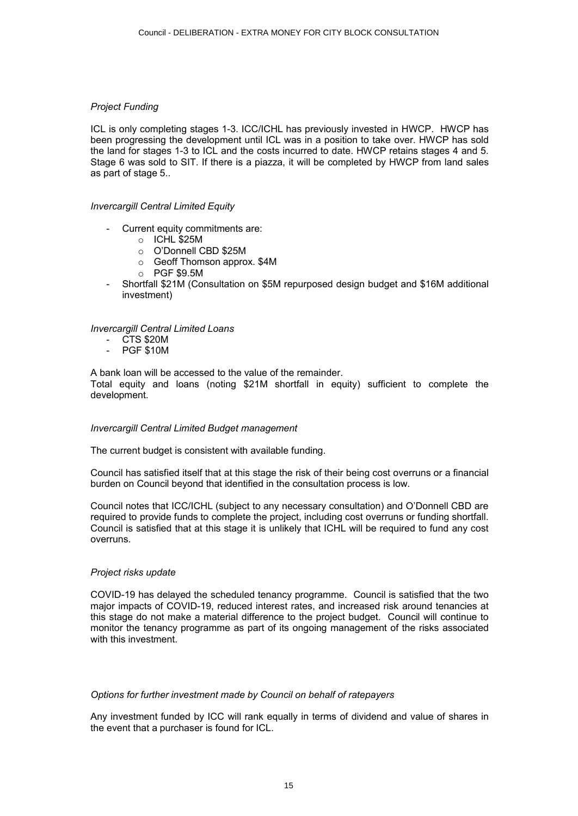#### *Project Funding*

ICL is only completing stages 1-3. ICC/ICHL has previously invested in HWCP. HWCP has been progressing the development until ICL was in a position to take over. HWCP has sold the land for stages 1-3 to ICL and the costs incurred to date. HWCP retains stages 4 and 5. Stage 6 was sold to SIT. If there is a piazza, it will be completed by HWCP from land sales as part of stage 5..

#### *Invercargill Central Limited Equity*

- Current equity commitments are:
	- o ICHL \$25M
	- o O'Donnell CBD \$25M
	- o Geoff Thomson approx. \$4M
	- $O$  PGF \$9.5M
- Shortfall \$21M (Consultation on \$5M repurposed design budget and \$16M additional investment)

*Invercargill Central Limited Loans*

- CTS \$20M
- PGF \$10M

A bank loan will be accessed to the value of the remainder. Total equity and loans (noting \$21M shortfall in equity) sufficient to complete the development.

#### *Invercargill Central Limited Budget management*

The current budget is consistent with available funding.

Council has satisfied itself that at this stage the risk of their being cost overruns or a financial burden on Council beyond that identified in the consultation process is low.

Council notes that ICC/ICHL (subject to any necessary consultation) and O'Donnell CBD are required to provide funds to complete the project, including cost overruns or funding shortfall. Council is satisfied that at this stage it is unlikely that ICHL will be required to fund any cost overruns.

#### *Project risks update*

COVID-19 has delayed the scheduled tenancy programme. Council is satisfied that the two major impacts of COVID-19, reduced interest rates, and increased risk around tenancies at this stage do not make a material difference to the project budget. Council will continue to monitor the tenancy programme as part of its ongoing management of the risks associated with this investment.

#### *Options for further investment made by Council on behalf of ratepayers*

Any investment funded by ICC will rank equally in terms of dividend and value of shares in the event that a purchaser is found for ICL.